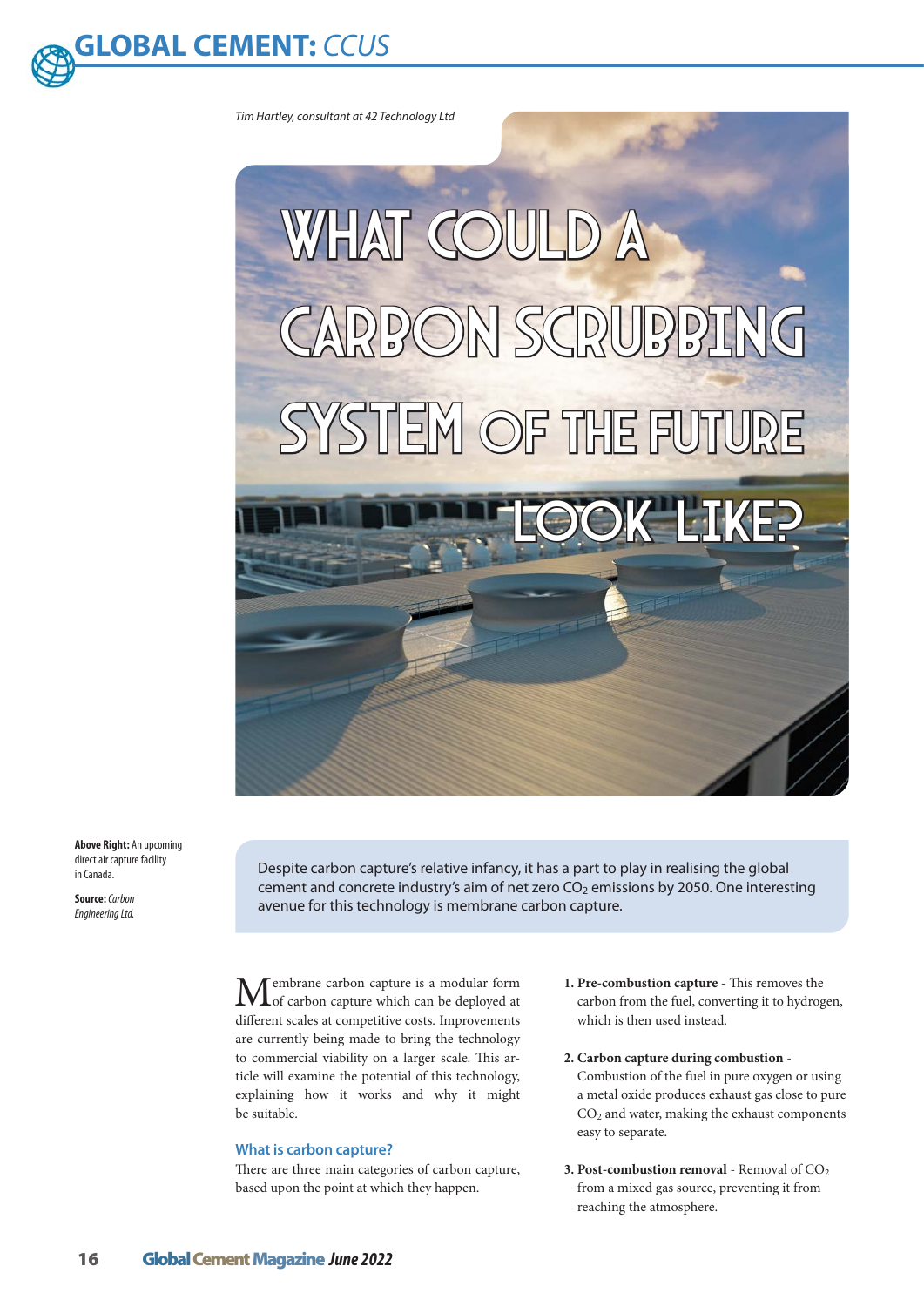

*Tim Hartley, consultant at 42 Technology Ltd*



**Above Right:** An upcoming direct air capture facility in Canada.

**Source:** *Carbon Engineering Ltd.*

Despite carbon capture's relative infancy, it has a part to play in realising the global cement and concrete industry's aim of net zero  $CO<sub>2</sub>$  emissions by 2050. One interesting avenue for this technology is membrane carbon capture.

**M**embrane carbon capture is a modular form<br>of carbon capture which can be deployed at different scales at competitive costs. Improvements are currently being made to bring the technology to commercial viability on a larger scale. This article will examine the potential of this technology, explaining how it works and why it might be suitable.

# **What is carbon capture?**

There are three main categories of carbon capture, based upon the point at which they happen.

- **1. Pre-combustion capture** This removes the carbon from the fuel, converting it to hydrogen, which is then used instead.
- **2. Carbon capture during combustion** Combustion of the fuel in pure oxygen or using a metal oxide produces exhaust gas close to pure  $CO<sub>2</sub>$  and water, making the exhaust components easy to separate.
- **3. Post-combustion removal** Removal of CO<sub>2</sub> from a mixed gas source, preventing it from reaching the atmosphere.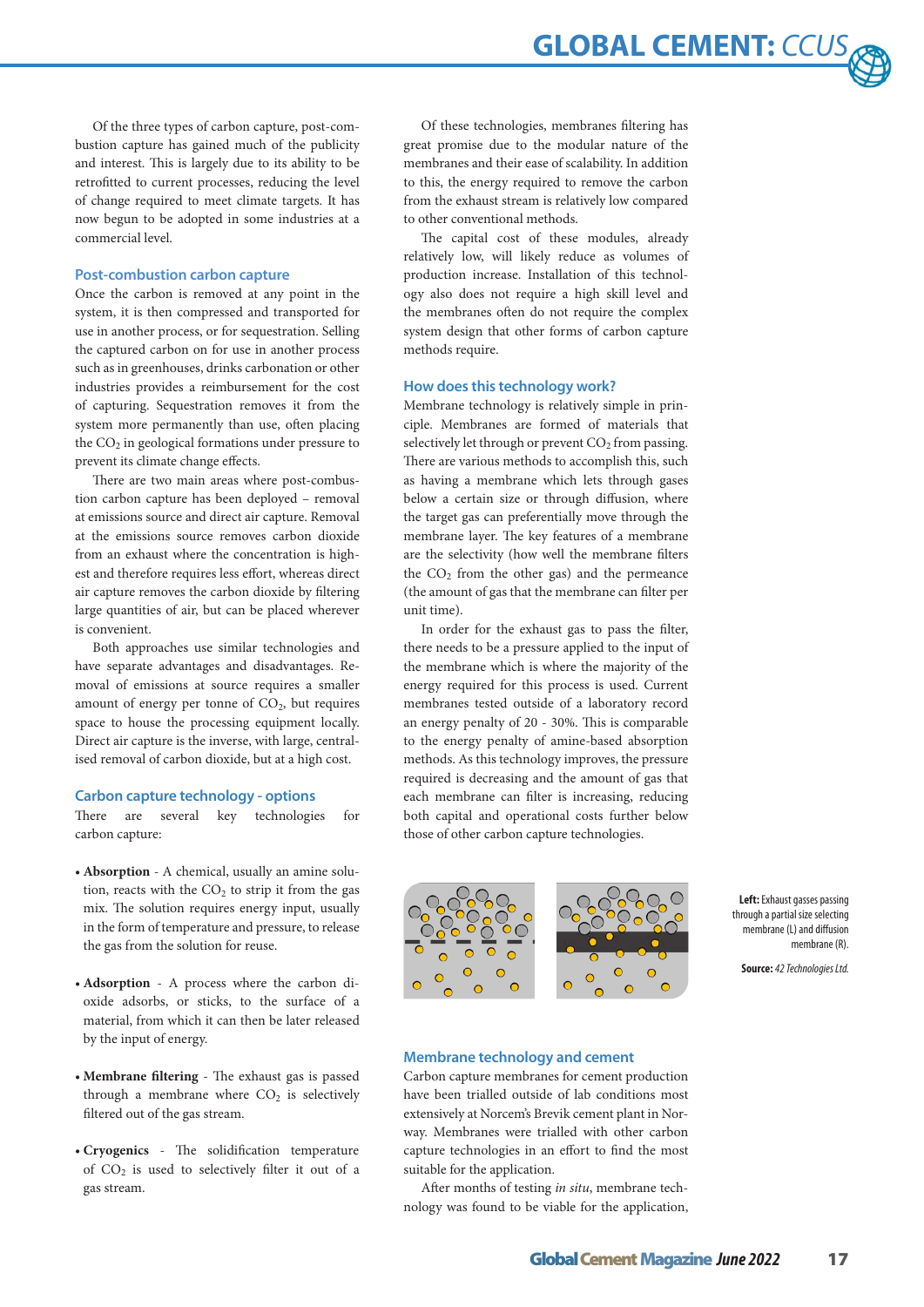**GLOBAL CEMENT: CCU** 

Of the three types of carbon capture, post-combustion capture has gained much of the publicity and interest. This is largely due to its ability to be retrofitted to current processes, reducing the level of change required to meet climate targets. It has now begun to be adopted in some industries at a commercial level.

#### **Post-combustion carbon capture**

Once the carbon is removed at any point in the system, it is then compressed and transported for use in another process, or for sequestration. Selling the captured carbon on for use in another process such as in greenhouses, drinks carbonation or other industries provides a reimbursement for the cost of capturing. Sequestration removes it from the system more permanently than use, often placing the  $CO<sub>2</sub>$  in geological formations under pressure to prevent its climate change effects.

There are two main areas where post-combustion carbon capture has been deployed – removal at emissions source and direct air capture. Removal at the emissions source removes carbon dioxide from an exhaust where the concentration is highest and therefore requires less effort, whereas direct air capture removes the carbon dioxide by filtering large quantities of air, but can be placed wherever is convenient.

Both approaches use similar technologies and have separate advantages and disadvantages. Removal of emissions at source requires a smaller amount of energy per tonne of  $CO<sub>2</sub>$ , but requires space to house the processing equipment locally. Direct air capture is the inverse, with large, centralised removal of carbon dioxide, but at a high cost.

#### **Carbon capture technology - options**

There are several key technologies for carbon capture:

- **• Absorption** A chemical, usually an amine solution, reacts with the  $CO<sub>2</sub>$  to strip it from the gas mix. The solution requires energy input, usually in the form of temperature and pressure, to release the gas from the solution for reuse.
- **• Adsorption** A process where the carbon dioxide adsorbs, or sticks, to the surface of a material, from which it can then be later released by the input of energy.
- **• Membrane filtering** The exhaust gas is passed through a membrane where  $CO<sub>2</sub>$  is selectively filtered out of the gas stream.
- **• Cryogenics** The solidification temperature of  $CO<sub>2</sub>$  is used to selectively filter it out of a gas stream.

Of these technologies, membranes filtering has great promise due to the modular nature of the membranes and their ease of scalability. In addition to this, the energy required to remove the carbon from the exhaust stream is relatively low compared to other conventional methods.

The capital cost of these modules, already relatively low, will likely reduce as volumes of production increase. Installation of this technology also does not require a high skill level and the membranes often do not require the complex system design that other forms of carbon capture methods require.

#### **How does this technology work?**

Membrane technology is relatively simple in principle. Membranes are formed of materials that selectively let through or prevent  $CO<sub>2</sub>$  from passing. There are various methods to accomplish this, such as having a membrane which lets through gases below a certain size or through diffusion, where the target gas can preferentially move through the membrane layer. The key features of a membrane are the selectivity (how well the membrane filters the  $CO<sub>2</sub>$  from the other gas) and the permeance (the amount of gas that the membrane can filter per unit time).

In order for the exhaust gas to pass the filter, there needs to be a pressure applied to the input of the membrane which is where the majority of the energy required for this process is used. Current membranes tested outside of a laboratory record an energy penalty of 20 - 30%. This is comparable to the energy penalty of amine-based absorption methods. As this technology improves, the pressure required is decreasing and the amount of gas that each membrane can filter is increasing, reducing both capital and operational costs further below those of other carbon capture technologies.



**Left:** Exhaust gasses passing through a partial size selecting membrane (L) and diffusion membrane (R).

**Source:** *42 Technologies Ltd.*

### **Membrane technology and cement**

Carbon capture membranes for cement production have been trialled outside of lab conditions most extensively at Norcem's Brevik cement plant in Norway. Membranes were trialled with other carbon capture technologies in an effort to find the most suitable for the application.

After months of testing *in situ*, membrane technology was found to be viable for the application,